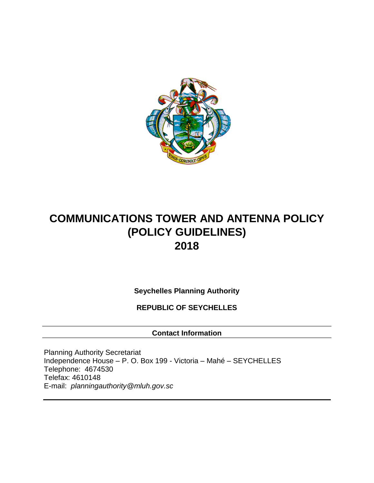

# **COMMUNICATIONS TOWER AND ANTENNA POLICY (POLICY GUIDELINES) 2018**

**Seychelles Planning Authority**

**REPUBLIC OF SEYCHELLES**

**Contact Information**

Planning Authority Secretariat Independence House – P. O. Box 199 - Victoria – Mahé – SEYCHELLES Telephone: 4674530 Telefax: 4610148 E-mail: *planningauthorit[y@mluh.gov.sc](mailto:ghoareau@mluh.gov.sc)*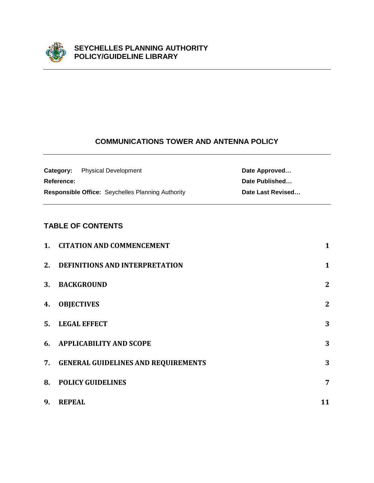

# **COMMUNICATIONS TOWER AND ANTENNA POLICY**

|            | <b>Category:</b> Physical Development                    | Date Approved     |
|------------|----------------------------------------------------------|-------------------|
| Reference: |                                                          | Date Published    |
|            | <b>Responsible Office:</b> Seychelles Planning Authority | Date Last Revised |

# **TABLE OF CONTENTS**

|    | 1. CITATION AND COMMENCEMENT           | $\mathbf{1}$   |
|----|----------------------------------------|----------------|
| 2. | <b>DEFINITIONS AND INTERPRETATION</b>  | $\mathbf{1}$   |
| 3. | <b>BACKGROUND</b>                      | $\mathbf{2}$   |
| 4. | <b>OBJECTIVES</b>                      | $\mathbf{2}$   |
| 5. | <b>LEGAL EFFECT</b>                    | 3              |
| 6. | <b>APPLICABILITY AND SCOPE</b>         | 3              |
|    | 7. GENERAL GUIDELINES AND REQUIREMENTS | 3              |
| 8. | <b>POLICY GUIDELINES</b>               | $\overline{7}$ |
| 9. | <b>REPEAL</b>                          | 11             |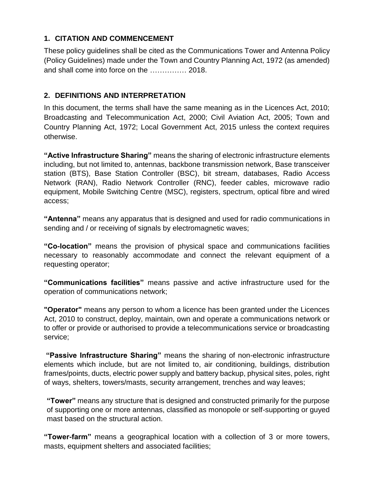# <span id="page-4-0"></span>**1. CITATION AND COMMENCEMENT**

These policy guidelines shall be cited as the Communications Tower and Antenna Policy (Policy Guidelines) made under the Town and Country Planning Act, 1972 (as amended) and shall come into force on the …………… 2018.

# <span id="page-4-1"></span>**2. DEFINITIONS AND INTERPRETATION**

In this document, the terms shall have the same meaning as in the Licences Act, 2010; Broadcasting and Telecommunication Act, 2000; Civil Aviation Act, 2005; Town and Country Planning Act, 1972; Local Government Act, 2015 unless the context requires otherwise.

**"Active Infrastructure Sharing"** means the sharing of electronic infrastructure elements including, but not limited to, antennas, backbone transmission network, Base transceiver station (BTS), Base Station Controller (BSC), bit stream, databases, Radio Access Network (RAN), Radio Network Controller (RNC), feeder cables, microwave radio equipment, Mobile Switching Centre (MSC), registers, spectrum, optical fibre and wired access;

**"Antenna"** means any apparatus that is designed and used for radio communications in sending and / or receiving of signals by electromagnetic waves;

**"Co-location"** means the provision of physical space and communications facilities necessary to reasonably accommodate and connect the relevant equipment of a requesting operator;

**"Communications facilities"** means passive and active infrastructure used for the operation of communications network;

**"Operator"** means any person to whom a licence has been granted under the Licences Act, 2010 to construct, deploy, maintain, own and operate a communications network or to offer or provide or authorised to provide a telecommunications service or broadcasting service;

**"Passive Infrastructure Sharing"** means the sharing of non-electronic infrastructure elements which include, but are not limited to, air conditioning, buildings, distribution frames/points, ducts, electric power supply and battery backup, physical sites, poles, right of ways, shelters, towers/masts, security arrangement, trenches and way leaves;

**"Tower"** means any structure that is designed and constructed primarily for the purpose of supporting one or more antennas, classified as monopole or self-supporting or guyed mast based on the structural action.

**"Tower-farm"** means a geographical location with a collection of 3 or more towers, masts, equipment shelters and associated facilities;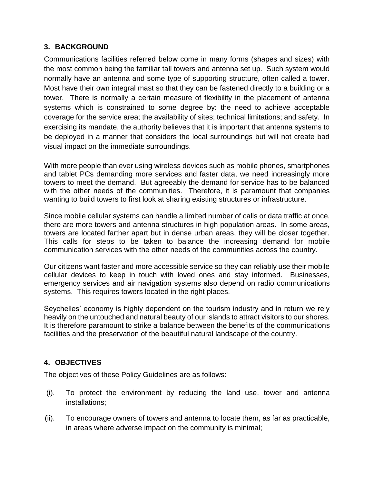# <span id="page-5-0"></span>**3. BACKGROUND**

Communications facilities referred below come in many forms (shapes and sizes) with the most common being the familiar tall towers and antenna set up. Such system would normally have an antenna and some type of supporting structure, often called a tower. Most have their own integral mast so that they can be fastened directly to a building or a tower. There is normally a certain measure of flexibility in the placement of antenna systems which is constrained to some degree by: the need to achieve acceptable coverage for the service area; the availability of sites; technical limitations; and safety. In exercising its mandate, the authority believes that it is important that antenna systems to be deployed in a manner that considers the local surroundings but will not create bad visual impact on the immediate surroundings.

With more people than ever using wireless devices such as mobile phones, smartphones and tablet PCs demanding more services and faster data, we need increasingly more towers to meet the demand. But agreeably the demand for service has to be balanced with the other needs of the communities. Therefore, it is paramount that companies wanting to build towers to first look at sharing existing structures or infrastructure.

Since mobile cellular systems can handle a limited number of calls or data traffic at once, there are more towers and antenna structures in high population areas. In some areas, towers are located farther apart but in dense urban areas, they will be closer together. This calls for steps to be taken to balance the increasing demand for mobile communication services with the other needs of the communities across the country.

Our citizens want faster and more accessible service so they can reliably use their mobile cellular devices to keep in touch with loved ones and stay informed. Businesses, emergency services and air navigation systems also depend on radio communications systems. This requires towers located in the right places.

Seychelles' economy is highly dependent on the tourism industry and in return we rely heavily on the untouched and natural beauty of our islands to attract visitors to our shores. It is therefore paramount to strike a balance between the benefits of the communications facilities and the preservation of the beautiful natural landscape of the country.

# <span id="page-5-1"></span>**4. OBJECTIVES**

The objectives of these Policy Guidelines are as follows:

- (i). To protect the environment by reducing the land use, tower and antenna installations;
- (ii). To encourage owners of towers and antenna to locate them, as far as practicable, in areas where adverse impact on the community is minimal;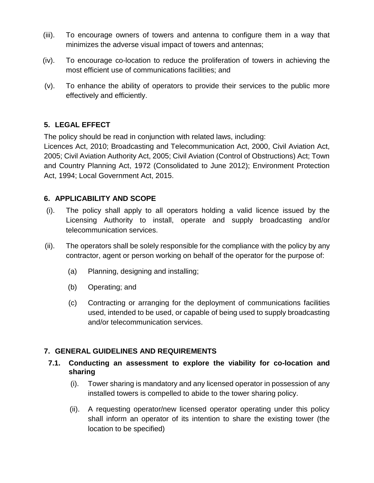- (iii). To encourage owners of towers and antenna to configure them in a way that minimizes the adverse visual impact of towers and antennas;
- (iv). To encourage co-location to reduce the proliferation of towers in achieving the most efficient use of communications facilities; and
- (v). To enhance the ability of operators to provide their services to the public more effectively and efficiently.

# <span id="page-6-0"></span>**5. LEGAL EFFECT**

The policy should be read in conjunction with related laws, including:

Licences Act, 2010; Broadcasting and Telecommunication Act, 2000, Civil Aviation Act, 2005; Civil Aviation Authority Act, 2005; Civil Aviation (Control of Obstructions) Act; Town and Country Planning Act, 1972 (Consolidated to June 2012); Environment Protection Act, 1994; Local Government Act, 2015.

# <span id="page-6-1"></span>**6. APPLICABILITY AND SCOPE**

- (i). The policy shall apply to all operators holding a valid licence issued by the Licensing Authority to install, operate and supply broadcasting and/or telecommunication services.
- (ii). The operators shall be solely responsible for the compliance with the policy by any contractor, agent or person working on behalf of the operator for the purpose of:
	- (a) Planning, designing and installing;
	- (b) Operating; and
	- (c) Contracting or arranging for the deployment of communications facilities used, intended to be used, or capable of being used to supply broadcasting and/or telecommunication services.

## <span id="page-6-2"></span>**7. GENERAL GUIDELINES AND REQUIREMENTS**

#### **7.1. Conducting an assessment to explore the viability for co-location and sharing**

- (i). Tower sharing is mandatory and any licensed operator in possession of any installed towers is compelled to abide to the tower sharing policy.
- (ii). A requesting operator/new licensed operator operating under this policy shall inform an operator of its intention to share the existing tower (the location to be specified)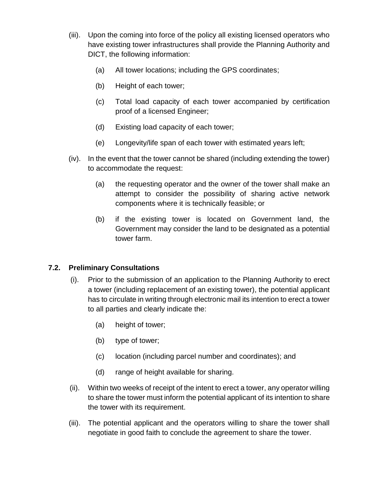- (iii). Upon the coming into force of the policy all existing licensed operators who have existing tower infrastructures shall provide the Planning Authority and DICT, the following information:
	- (a) All tower locations; including the GPS coordinates;
	- (b) Height of each tower;
	- (c) Total load capacity of each tower accompanied by certification proof of a licensed Engineer;
	- (d) Existing load capacity of each tower;
	- (e) Longevity/life span of each tower with estimated years left;
- (iv). In the event that the tower cannot be shared (including extending the tower) to accommodate the request:
	- (a) the requesting operator and the owner of the tower shall make an attempt to consider the possibility of sharing active network components where it is technically feasible; or
	- (b) if the existing tower is located on Government land, the Government may consider the land to be designated as a potential tower farm.

# **7.2. Preliminary Consultations**

- (i). Prior to the submission of an application to the Planning Authority to erect a tower (including replacement of an existing tower), the potential applicant has to circulate in writing through electronic mail its intention to erect a tower to all parties and clearly indicate the:
	- (a) height of tower;
	- (b) type of tower;
	- (c) location (including parcel number and coordinates); and
	- (d) range of height available for sharing.
- (ii). Within two weeks of receipt of the intent to erect a tower, any operator willing to share the tower must inform the potential applicant of its intention to share the tower with its requirement.
- (iii). The potential applicant and the operators willing to share the tower shall negotiate in good faith to conclude the agreement to share the tower.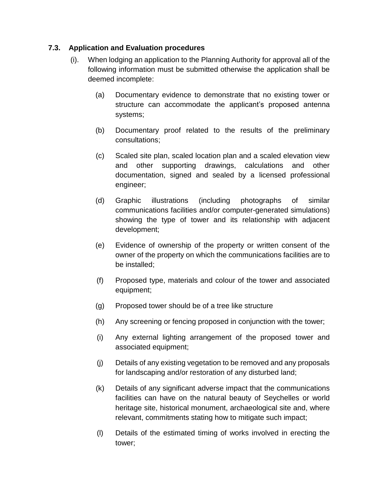## **7.3. Application and Evaluation procedures**

- (i). When lodging an application to the Planning Authority for approval all of the following information must be submitted otherwise the application shall be deemed incomplete:
	- (a) Documentary evidence to demonstrate that no existing tower or structure can accommodate the applicant's proposed antenna systems;
	- (b) Documentary proof related to the results of the preliminary consultations;
	- (c) Scaled site plan, scaled location plan and a scaled elevation view and other supporting drawings, calculations and other documentation, signed and sealed by a licensed professional engineer;
	- (d) Graphic illustrations (including photographs of similar communications facilities and/or computer-generated simulations) showing the type of tower and its relationship with adjacent development;
	- (e) Evidence of ownership of the property or written consent of the owner of the property on which the communications facilities are to be installed;
	- (f) Proposed type, materials and colour of the tower and associated equipment;
	- (g) Proposed tower should be of a tree like structure
	- (h) Any screening or fencing proposed in conjunction with the tower;
	- (i) Any external lighting arrangement of the proposed tower and associated equipment;
	- (j) Details of any existing vegetation to be removed and any proposals for landscaping and/or restoration of any disturbed land;
	- (k) Details of any significant adverse impact that the communications facilities can have on the natural beauty of Seychelles or world heritage site, historical monument, archaeological site and, where relevant, commitments stating how to mitigate such impact;
	- (l) Details of the estimated timing of works involved in erecting the tower;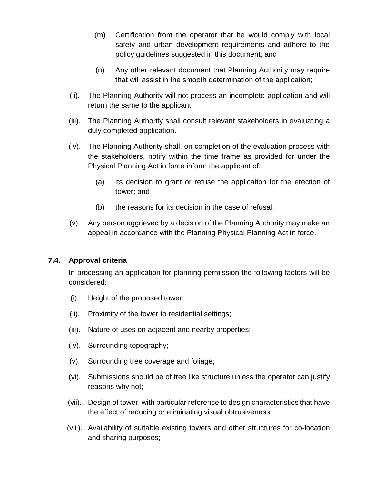- (m) Certification from the operator that he would comply with local safety and urban development requirements and adhere to the policy guidelines suggested in this document; and
- (n) Any other relevant document that Planning Authority may require that will assist in the smooth determination of the application;
- (ii). The Planning Authority will not process an incomplete application and will return the same to the applicant.
- (iii). The Planning Authority shall consult relevant stakeholders in evaluating a duly completed application.
- (iv). The Planning Authority shall, on completion of the evaluation process with the stakeholders, notify within the time frame as provided for under the Physical Planning Act in force inform the applicant of;
	- (a) its decision to grant or refuse the application for the erection of tower; and
	- (b) the reasons for its decision in the case of refusal.
- (v). Any person aggrieved by a decision of the Planning Authority may make an appeal in accordance with the Planning Physical Planning Act in force.

## **7.4. Approval criteria**

In processing an application for planning permission the following factors will be considered:

- (i). Height of the proposed tower;
- (ii). Proximity of the tower to residential settings;
- (iii). Nature of uses on adjacent and nearby properties;
- (iv). Surrounding topography;
- (v). Surrounding tree coverage and foliage;
- (vi). Submissions should be of tree like structure unless the operator can justify reasons why not;
- (vii). Design of tower, with particular reference to design characteristics that have the effect of reducing or eliminating visual obtrusiveness;
- (viii). Availability of suitable existing towers and other structures for co-location and sharing purposes;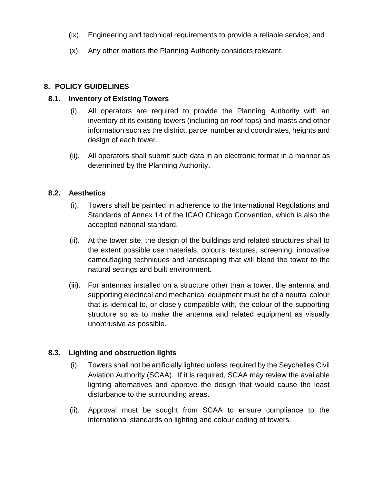- (ix). Engineering and technical requirements to provide a reliable service; and
- (x). Any other matters the Planning Authority considers relevant.

## <span id="page-10-0"></span>**8. POLICY GUIDELINES**

#### **8.1. Inventory of Existing Towers**

- (i). All operators are required to provide the Planning Authority with an inventory of its existing towers (including on roof tops) and masts and other information such as the district, parcel number and coordinates, heights and design of each tower.
- (ii). All operators shall submit such data in an electronic format in a manner as determined by the Planning Authority.

#### **8.2. Aesthetics**

- (i). Towers shall be painted in adherence to the International Regulations and Standards of Annex 14 of the ICAO Chicago Convention, which is also the accepted national standard.
- (ii). At the tower site, the design of the buildings and related structures shall to the extent possible use materials, colours, textures, screening, innovative camouflaging techniques and landscaping that will blend the tower to the natural settings and built environment.
- (iii). For antennas installed on a structure other than a tower, the antenna and supporting electrical and mechanical equipment must be of a neutral colour that is identical to, or closely compatible with, the colour of the supporting structure so as to make the antenna and related equipment as visually unobtrusive as possible.

## **8.3. Lighting and obstruction lights**

- (i). Towers shall not be artificially lighted unless required by the Seychelles Civil Aviation Authority (SCAA). If it is required, SCAA may review the available lighting alternatives and approve the design that would cause the least disturbance to the surrounding areas.
- (ii). Approval must be sought from SCAA to ensure compliance to the international standards on lighting and colour coding of towers.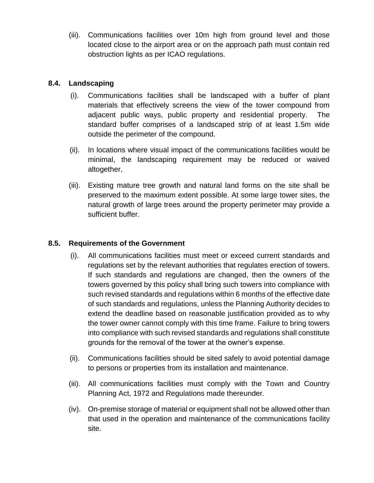(iii). Communications facilities over 10m high from ground level and those located close to the airport area or on the approach path must contain red obstruction lights as per ICAO regulations.

# **8.4. Landscaping**

- (i). Communications facilities shall be landscaped with a buffer of plant materials that effectively screens the view of the tower compound from adjacent public ways, public property and residential property. The standard buffer comprises of a landscaped strip of at least 1.5m wide outside the perimeter of the compound.
- (ii). In locations where visual impact of the communications facilities would be minimal, the landscaping requirement may be reduced or waived altogether,
- (iii). Existing mature tree growth and natural land forms on the site shall be preserved to the maximum extent possible. At some large tower sites, the natural growth of large trees around the property perimeter may provide a sufficient buffer.

# **8.5. Requirements of the Government**

- (i). All communications facilities must meet or exceed current standards and regulations set by the relevant authorities that regulates erection of towers. If such standards and regulations are changed, then the owners of the towers governed by this policy shall bring such towers into compliance with such revised standards and regulations within 6 months of the effective date of such standards and regulations, unless the Planning Authority decides to extend the deadline based on reasonable justification provided as to why the tower owner cannot comply with this time frame. Failure to bring towers into compliance with such revised standards and regulations shall constitute grounds for the removal of the tower at the owner's expense.
- (ii). Communications facilities should be sited safely to avoid potential damage to persons or properties from its installation and maintenance.
- (iii). All communications facilities must comply with the Town and Country Planning Act, 1972 and Regulations made thereunder.
- (iv). On-premise storage of material or equipment shall not be allowed other than that used in the operation and maintenance of the communications facility site.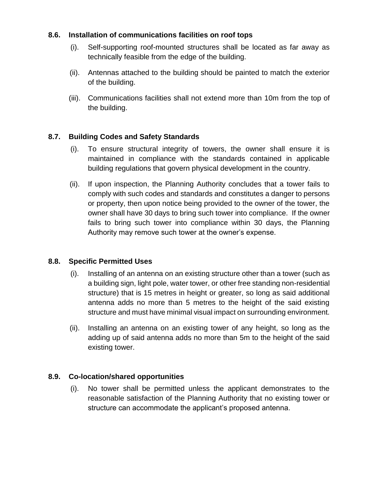## **8.6. Installation of communications facilities on roof tops**

- (i). Self-supporting roof-mounted structures shall be located as far away as technically feasible from the edge of the building.
- (ii). Antennas attached to the building should be painted to match the exterior of the building.
- (iii). Communications facilities shall not extend more than 10m from the top of the building.

## **8.7. Building Codes and Safety Standards**

- (i). To ensure structural integrity of towers, the owner shall ensure it is maintained in compliance with the standards contained in applicable building regulations that govern physical development in the country.
- (ii). If upon inspection, the Planning Authority concludes that a tower fails to comply with such codes and standards and constitutes a danger to persons or property, then upon notice being provided to the owner of the tower, the owner shall have 30 days to bring such tower into compliance. If the owner fails to bring such tower into compliance within 30 days, the Planning Authority may remove such tower at the owner's expense.

## **8.8. Specific Permitted Uses**

- (i). Installing of an antenna on an existing structure other than a tower (such as a building sign, light pole, water tower, or other free standing non-residential structure) that is 15 metres in height or greater, so long as said additional antenna adds no more than 5 metres to the height of the said existing structure and must have minimal visual impact on surrounding environment.
- (ii). Installing an antenna on an existing tower of any height, so long as the adding up of said antenna adds no more than 5m to the height of the said existing tower.

## **8.9. Co-location/shared opportunities**

(i). No tower shall be permitted unless the applicant demonstrates to the reasonable satisfaction of the Planning Authority that no existing tower or structure can accommodate the applicant's proposed antenna.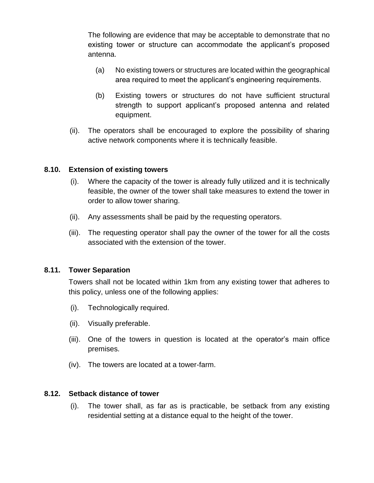The following are evidence that may be acceptable to demonstrate that no existing tower or structure can accommodate the applicant's proposed antenna.

- (a) No existing towers or structures are located within the geographical area required to meet the applicant's engineering requirements.
- (b) Existing towers or structures do not have sufficient structural strength to support applicant's proposed antenna and related equipment.
- (ii). The operators shall be encouraged to explore the possibility of sharing active network components where it is technically feasible.

#### **8.10. Extension of existing towers**

- (i). Where the capacity of the tower is already fully utilized and it is technically feasible, the owner of the tower shall take measures to extend the tower in order to allow tower sharing.
- (ii). Any assessments shall be paid by the requesting operators.
- (iii). The requesting operator shall pay the owner of the tower for all the costs associated with the extension of the tower.

## **8.11. Tower Separation**

Towers shall not be located within 1km from any existing tower that adheres to this policy, unless one of the following applies:

- (i). Technologically required.
- (ii). Visually preferable.
- (iii). One of the towers in question is located at the operator's main office premises.
- (iv). The towers are located at a tower-farm.

#### **8.12. Setback distance of tower**

(i). The tower shall, as far as is practicable, be setback from any existing residential setting at a distance equal to the height of the tower.